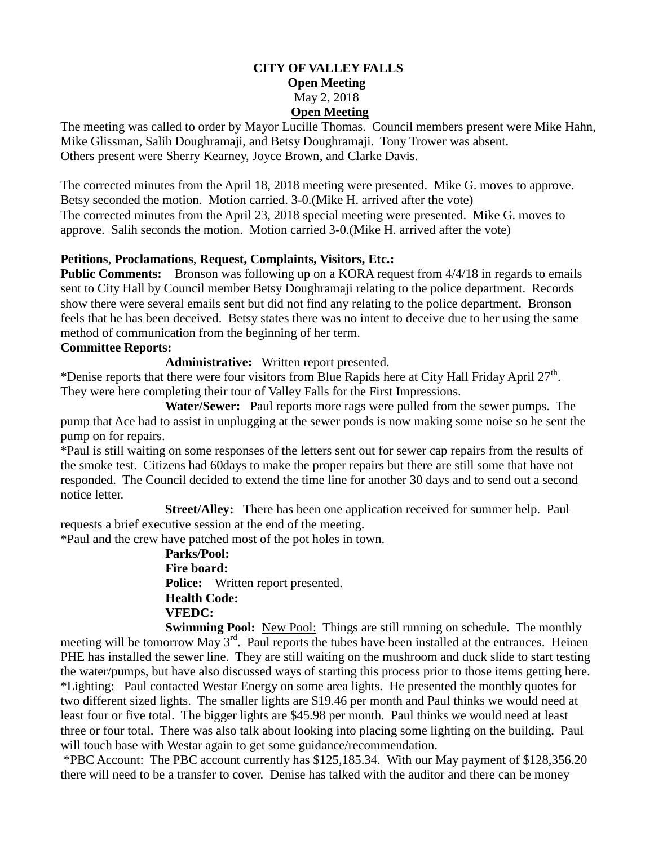### **CITY OF VALLEY FALLS Open Meeting** May 2, 2018 **Open Meeting**

The meeting was called to order by Mayor Lucille Thomas. Council members present were Mike Hahn, Mike Glissman, Salih Doughramaji, and Betsy Doughramaji. Tony Trower was absent. Others present were Sherry Kearney, Joyce Brown, and Clarke Davis.

The corrected minutes from the April 18, 2018 meeting were presented. Mike G. moves to approve. Betsy seconded the motion. Motion carried. 3-0.(Mike H. arrived after the vote) The corrected minutes from the April 23, 2018 special meeting were presented. Mike G. moves to approve. Salih seconds the motion. Motion carried 3-0.(Mike H. arrived after the vote)

### **Petitions**, **Proclamations**, **Request, Complaints, Visitors, Etc.:**

**Public Comments:** Bronson was following up on a KORA request from  $4/4/18$  in regards to emails sent to City Hall by Council member Betsy Doughramaji relating to the police department. Records show there were several emails sent but did not find any relating to the police department. Bronson feels that he has been deceived. Betsy states there was no intent to deceive due to her using the same method of communication from the beginning of her term.

#### **Committee Reports:**

**Administrative:** Written report presented.

\*Denise reports that there were four visitors from Blue Rapids here at City Hall Friday April  $27<sup>th</sup>$ . They were here completing their tour of Valley Falls for the First Impressions.

 **Water/Sewer:** Paul reports more rags were pulled from the sewer pumps. The pump that Ace had to assist in unplugging at the sewer ponds is now making some noise so he sent the pump on for repairs.

\*Paul is still waiting on some responses of the letters sent out for sewer cap repairs from the results of the smoke test. Citizens had 60days to make the proper repairs but there are still some that have not responded. The Council decided to extend the time line for another 30 days and to send out a second notice letter.

**Street/Alley:** There has been one application received for summer help. Paul requests a brief executive session at the end of the meeting.

\*Paul and the crew have patched most of the pot holes in town.

 **Parks/Pool: Fire board: Police:** Written report presented. **Health Code: VFEDC:**

**Swimming Pool:** New Pool: Things are still running on schedule. The monthly meeting will be tomorrow May 3<sup>rd</sup>. Paul reports the tubes have been installed at the entrances. Heinen PHE has installed the sewer line. They are still waiting on the mushroom and duck slide to start testing the water/pumps, but have also discussed ways of starting this process prior to those items getting here. \*Lighting: Paul contacted Westar Energy on some area lights. He presented the monthly quotes for two different sized lights. The smaller lights are \$19.46 per month and Paul thinks we would need at least four or five total. The bigger lights are \$45.98 per month. Paul thinks we would need at least three or four total. There was also talk about looking into placing some lighting on the building. Paul will touch base with Westar again to get some guidance/recommendation.

\*PBC Account: The PBC account currently has \$125,185.34. With our May payment of \$128,356.20 there will need to be a transfer to cover. Denise has talked with the auditor and there can be money